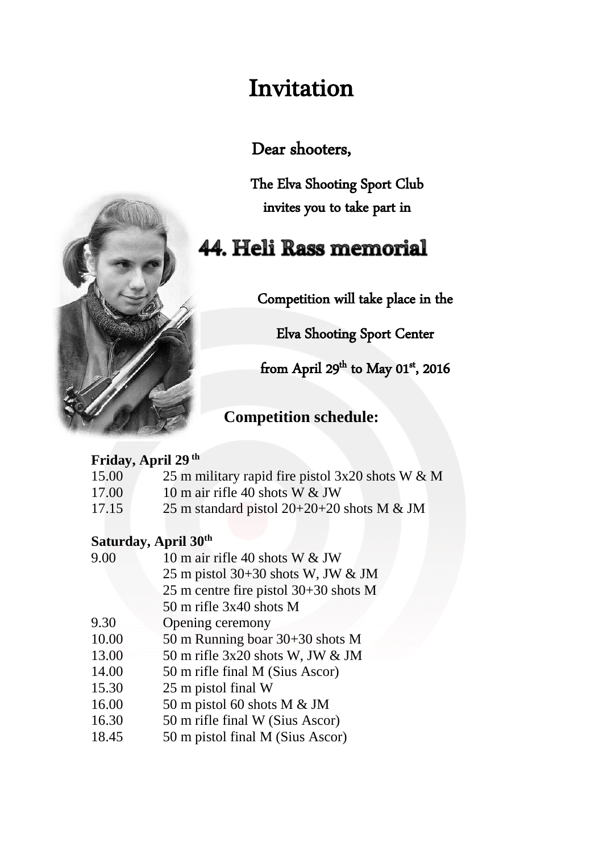# Invitation

Dear shooters,

The Elva Shooting Sport Club invites you to take part in

# **44. Heli Rass memorial**

Competition will take place in the

Elva Shooting Sport Center

from April 29<sup>th</sup> to May 01<sup>st</sup>, 2016

## **Competition schedule:**

### **Friday, April 29 th**

- 15.00 25 m military rapid fire pistol 3x20 shots W & M
- 17.00 10 m air rifle 40 shots W & JW
- 17.15 25 m standard pistol 20+20+20 shots M & JM

### **Saturday, April 30th**

- 9.00 10 m air rifle 40 shots W & JW 25 m pistol 30+30 shots W, JW & JM 25 m centre fire pistol 30+30 shots M 50 m rifle 3x40 shots M
- 9.30 Opening ceremony
- 10.00 50 m Running boar 30+30 shots M
- 13.00 50 m rifle 3x20 shots W, JW & JM
- 14.00 50 m rifle final M (Sius Ascor)
- 15.30 25 m pistol final W
- 16.00 50 m pistol 60 shots M & JM
- 16.30 50 m rifle final W (Sius Ascor)
- 18.45 50 m pistol final M (Sius Ascor)